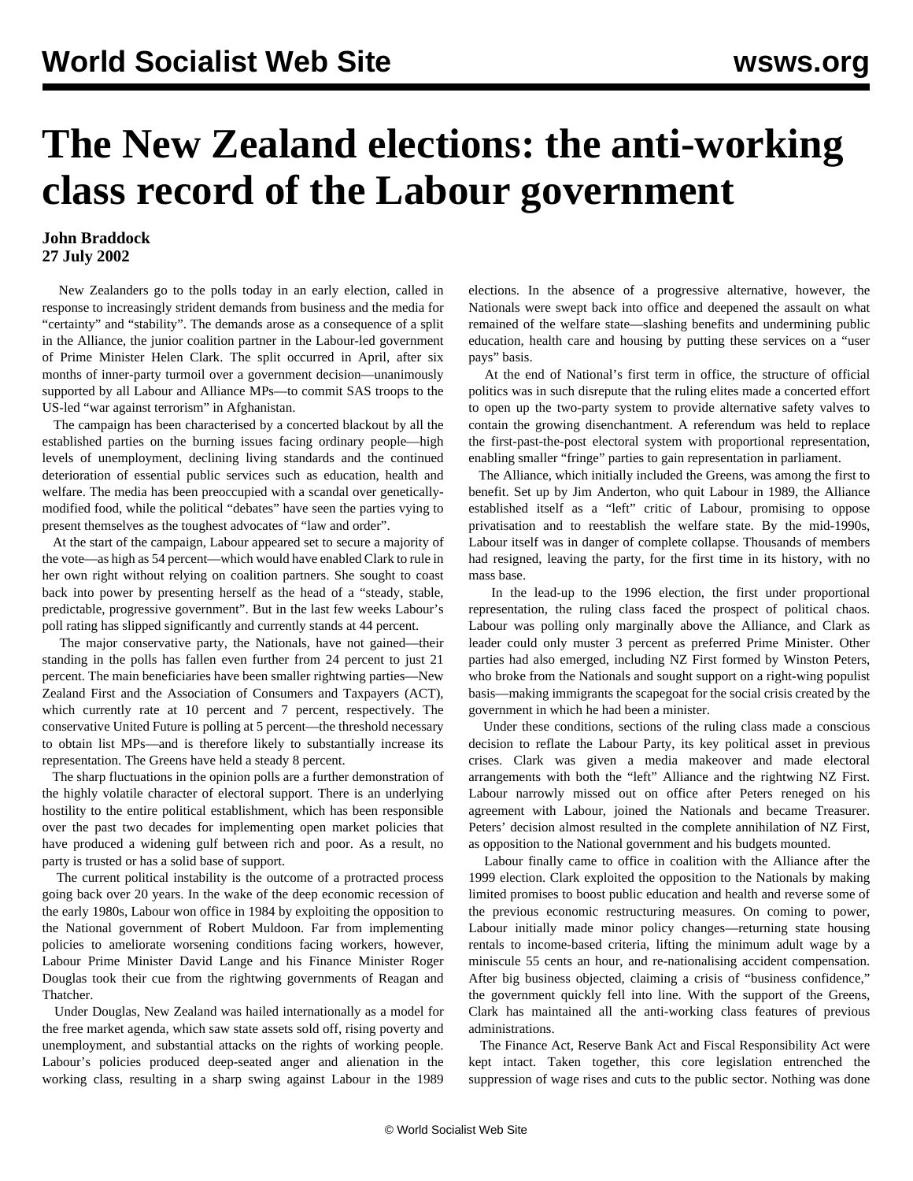## **The New Zealand elections: the anti-working class record of the Labour government**

## **John Braddock 27 July 2002**

 New Zealanders go to the polls today in an early election, called in response to increasingly strident demands from business and the media for "certainty" and "stability". The demands arose as a consequence of a split in the Alliance, the junior coalition partner in the Labour-led government of Prime Minister Helen Clark. The split occurred in April, after six months of inner-party turmoil over a government decision—unanimously supported by all Labour and Alliance MPs—to commit SAS troops to the US-led "war against terrorism" in Afghanistan.

 The campaign has been characterised by a concerted blackout by all the established parties on the burning issues facing ordinary people—high levels of unemployment, declining living standards and the continued deterioration of essential public services such as education, health and welfare. The media has been preoccupied with a scandal over geneticallymodified food, while the political "debates" have seen the parties vying to present themselves as the toughest advocates of "law and order".

 At the start of the campaign, Labour appeared set to secure a majority of the vote—as high as 54 percent—which would have enabled Clark to rule in her own right without relying on coalition partners. She sought to coast back into power by presenting herself as the head of a "steady, stable, predictable, progressive government". But in the last few weeks Labour's poll rating has slipped significantly and currently stands at 44 percent.

 The major conservative party, the Nationals, have not gained—their standing in the polls has fallen even further from 24 percent to just 21 percent. The main beneficiaries have been smaller rightwing parties—New Zealand First and the Association of Consumers and Taxpayers (ACT), which currently rate at 10 percent and 7 percent, respectively. The conservative United Future is polling at 5 percent—the threshold necessary to obtain list MPs—and is therefore likely to substantially increase its representation. The Greens have held a steady 8 percent.

 The sharp fluctuations in the opinion polls are a further demonstration of the highly volatile character of electoral support. There is an underlying hostility to the entire political establishment, which has been responsible over the past two decades for implementing open market policies that have produced a widening gulf between rich and poor. As a result, no party is trusted or has a solid base of support.

 The current political instability is the outcome of a protracted process going back over 20 years. In the wake of the deep economic recession of the early 1980s, Labour won office in 1984 by exploiting the opposition to the National government of Robert Muldoon. Far from implementing policies to ameliorate worsening conditions facing workers, however, Labour Prime Minister David Lange and his Finance Minister Roger Douglas took their cue from the rightwing governments of Reagan and Thatcher.

 Under Douglas, New Zealand was hailed internationally as a model for the free market agenda, which saw state assets sold off, rising poverty and unemployment, and substantial attacks on the rights of working people. Labour's policies produced deep-seated anger and alienation in the working class, resulting in a sharp swing against Labour in the 1989

elections. In the absence of a progressive alternative, however, the Nationals were swept back into office and deepened the assault on what remained of the welfare state—slashing benefits and undermining public education, health care and housing by putting these services on a "user pays" basis.

 At the end of National's first term in office, the structure of official politics was in such disrepute that the ruling elites made a concerted effort to open up the two-party system to provide alternative safety valves to contain the growing disenchantment. A referendum was held to replace the first-past-the-post electoral system with proportional representation, enabling smaller "fringe" parties to gain representation in parliament.

 The Alliance, which initially included the Greens, was among the first to benefit. Set up by Jim Anderton, who quit Labour in 1989, the Alliance established itself as a "left" critic of Labour, promising to oppose privatisation and to reestablish the welfare state. By the mid-1990s, Labour itself was in danger of complete collapse. Thousands of members had resigned, leaving the party, for the first time in its history, with no mass base.

 In the lead-up to the 1996 election, the first under proportional representation, the ruling class faced the prospect of political chaos. Labour was polling only marginally above the Alliance, and Clark as leader could only muster 3 percent as preferred Prime Minister. Other parties had also emerged, including NZ First formed by Winston Peters, who broke from the Nationals and sought support on a right-wing populist basis—making immigrants the scapegoat for the social crisis created by the government in which he had been a minister.

 Under these conditions, sections of the ruling class made a conscious decision to reflate the Labour Party, its key political asset in previous crises. Clark was given a media makeover and made electoral arrangements with both the "left" Alliance and the rightwing NZ First. Labour narrowly missed out on office after Peters reneged on his agreement with Labour, joined the Nationals and became Treasurer. Peters' decision almost resulted in the complete annihilation of NZ First, as opposition to the National government and his budgets mounted.

 Labour finally came to office in coalition with the Alliance after the 1999 election. Clark exploited the opposition to the Nationals by making limited promises to boost public education and health and reverse some of the previous economic restructuring measures. On coming to power, Labour initially made minor policy changes—returning state housing rentals to income-based criteria, lifting the minimum adult wage by a miniscule 55 cents an hour, and re-nationalising accident compensation. After big business objected, claiming a crisis of "business confidence," the government quickly fell into line. With the support of the Greens, Clark has maintained all the anti-working class features of previous administrations.

 The Finance Act, Reserve Bank Act and Fiscal Responsibility Act were kept intact. Taken together, this core legislation entrenched the suppression of wage rises and cuts to the public sector. Nothing was done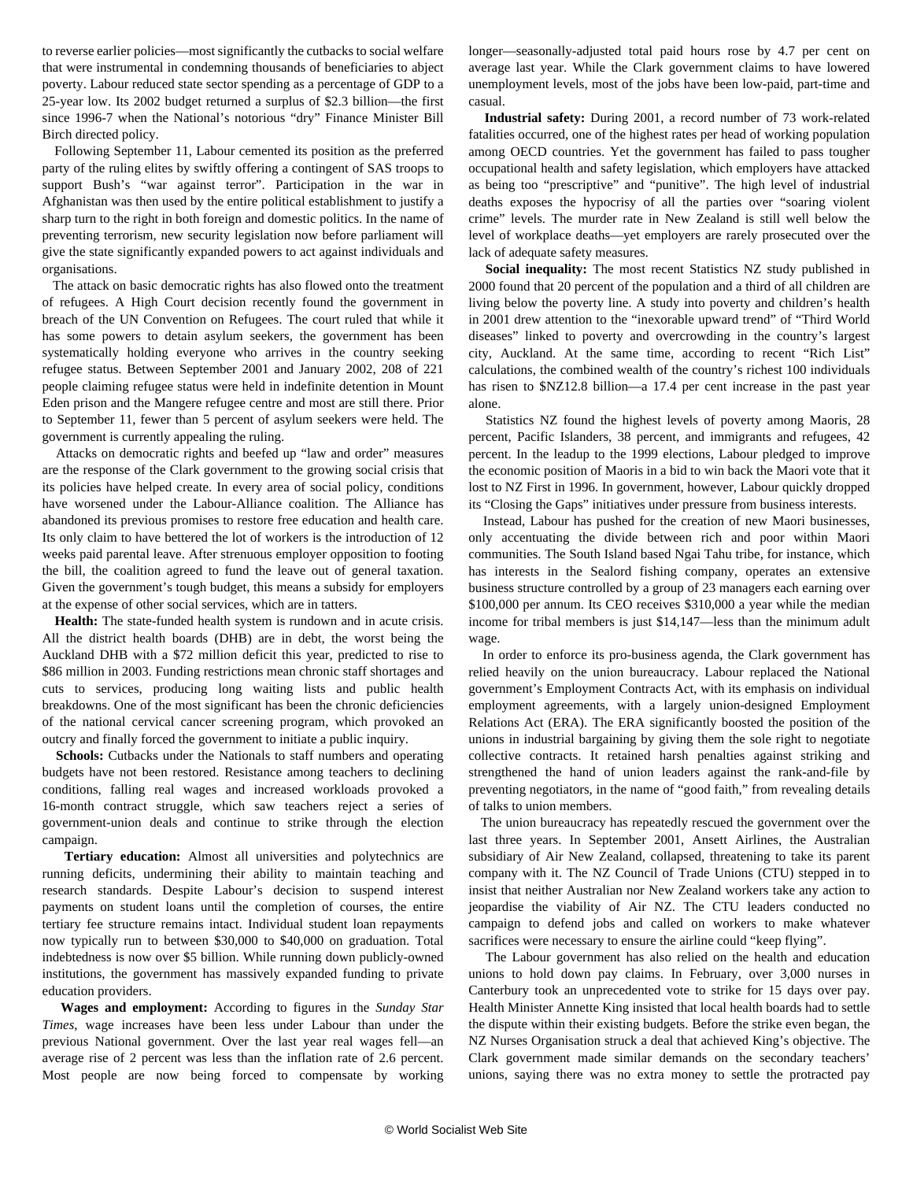to reverse earlier policies—most significantly the cutbacks to social welfare that were instrumental in condemning thousands of beneficiaries to abject poverty. Labour reduced state sector spending as a percentage of GDP to a 25-year low. Its 2002 budget returned a surplus of \$2.3 billion—the first since 1996-7 when the National's notorious "dry" Finance Minister Bill Birch directed policy.

 Following September 11, Labour cemented its position as the preferred party of the ruling elites by swiftly offering a contingent of SAS troops to support Bush's "war against terror". Participation in the war in Afghanistan was then used by the entire political establishment to justify a sharp turn to the right in both foreign and domestic politics. In the name of preventing terrorism, new security legislation now before parliament will give the state significantly expanded powers to act against individuals and organisations.

 The attack on basic democratic rights has also flowed onto the treatment of refugees. A High Court decision recently found the government in breach of the UN Convention on Refugees. The court ruled that while it has some powers to detain asylum seekers, the government has been systematically holding everyone who arrives in the country seeking refugee status. Between September 2001 and January 2002, 208 of 221 people claiming refugee status were held in indefinite detention in Mount Eden prison and the Mangere refugee centre and most are still there. Prior to September 11, fewer than 5 percent of asylum seekers were held. The government is currently appealing the ruling.

 Attacks on democratic rights and beefed up "law and order" measures are the response of the Clark government to the growing social crisis that its policies have helped create. In every area of social policy, conditions have worsened under the Labour-Alliance coalition. The Alliance has abandoned its previous promises to restore free education and health care. Its only claim to have bettered the lot of workers is the introduction of 12 weeks paid parental leave. After strenuous employer opposition to footing the bill, the coalition agreed to fund the leave out of general taxation. Given the government's tough budget, this means a subsidy for employers at the expense of other social services, which are in tatters.

 **Health:** The state-funded health system is rundown and in acute crisis. All the district health boards (DHB) are in debt, the worst being the Auckland DHB with a \$72 million deficit this year, predicted to rise to \$86 million in 2003. Funding restrictions mean chronic staff shortages and cuts to services, producing long waiting lists and public health breakdowns. One of the most significant has been the chronic deficiencies of the national cervical cancer screening program, which provoked an outcry and finally forced the government to initiate a public inquiry.

 **Schools:** Cutbacks under the Nationals to staff numbers and operating budgets have not been restored. Resistance among teachers to declining conditions, falling real wages and increased workloads provoked a 16-month contract struggle, which saw teachers reject a series of government-union deals and continue to strike through the election campaign.

 **Tertiary education:** Almost all universities and polytechnics are running deficits, undermining their ability to maintain teaching and research standards. Despite Labour's decision to suspend interest payments on student loans until the completion of courses, the entire tertiary fee structure remains intact. Individual student loan repayments now typically run to between \$30,000 to \$40,000 on graduation. Total indebtedness is now over \$5 billion. While running down publicly-owned institutions, the government has massively expanded funding to private education providers.

 **Wages and employment:** According to figures in the *Sunday Star Times*, wage increases have been less under Labour than under the previous National government. Over the last year real wages fell—an average rise of 2 percent was less than the inflation rate of 2.6 percent. Most people are now being forced to compensate by working longer—seasonally-adjusted total paid hours rose by 4.7 per cent on average last year. While the Clark government claims to have lowered unemployment levels, most of the jobs have been low-paid, part-time and casual.

 **Industrial safety:** During 2001, a record number of 73 work-related fatalities occurred, one of the highest rates per head of working population among OECD countries. Yet the government has failed to pass tougher occupational health and safety legislation, which employers have attacked as being too "prescriptive" and "punitive". The high level of industrial deaths exposes the hypocrisy of all the parties over "soaring violent crime" levels. The murder rate in New Zealand is still well below the level of workplace deaths—yet employers are rarely prosecuted over the lack of adequate safety measures.

 **Social inequality:** The most recent Statistics NZ study published in 2000 found that 20 percent of the population and a third of all children are living below the poverty line. A study into poverty and children's health in 2001 drew attention to the "inexorable upward trend" of "Third World diseases" linked to poverty and overcrowding in the country's largest city, Auckland. At the same time, according to recent "Rich List" calculations, the combined wealth of the country's richest 100 individuals has risen to \$NZ12.8 billion—a 17.4 per cent increase in the past year alone.

 Statistics NZ found the highest levels of poverty among Maoris, 28 percent, Pacific Islanders, 38 percent, and immigrants and refugees, 42 percent. In the leadup to the 1999 elections, Labour pledged to improve the economic position of Maoris in a bid to win back the Maori vote that it lost to NZ First in 1996. In government, however, Labour quickly dropped its "Closing the Gaps" initiatives under pressure from business interests.

 Instead, Labour has pushed for the creation of new Maori businesses, only accentuating the divide between rich and poor within Maori communities. The South Island based Ngai Tahu tribe, for instance, which has interests in the Sealord fishing company, operates an extensive business structure controlled by a group of 23 managers each earning over \$100,000 per annum. Its CEO receives \$310,000 a year while the median income for tribal members is just \$14,147—less than the minimum adult wage.

 In order to enforce its pro-business agenda, the Clark government has relied heavily on the union bureaucracy. Labour replaced the National government's Employment Contracts Act, with its emphasis on individual employment agreements, with a largely union-designed Employment Relations Act (ERA). The ERA significantly boosted the position of the unions in industrial bargaining by giving them the sole right to negotiate collective contracts. It retained harsh penalties against striking and strengthened the hand of union leaders against the rank-and-file by preventing negotiators, in the name of "good faith," from revealing details of talks to union members.

 The union bureaucracy has repeatedly rescued the government over the last three years. In September 2001, Ansett Airlines, the Australian subsidiary of Air New Zealand, collapsed, threatening to take its parent company with it. The NZ Council of Trade Unions (CTU) stepped in to insist that neither Australian nor New Zealand workers take any action to jeopardise the viability of Air NZ. The CTU leaders conducted no campaign to defend jobs and called on workers to make whatever sacrifices were necessary to ensure the airline could "keep flying".

 The Labour government has also relied on the health and education unions to hold down pay claims. In February, over 3,000 nurses in Canterbury took an unprecedented vote to strike for 15 days over pay. Health Minister Annette King insisted that local health boards had to settle the dispute within their existing budgets. Before the strike even began, the NZ Nurses Organisation struck a deal that achieved King's objective. The Clark government made similar demands on the secondary teachers' unions, saying there was no extra money to settle the protracted pay